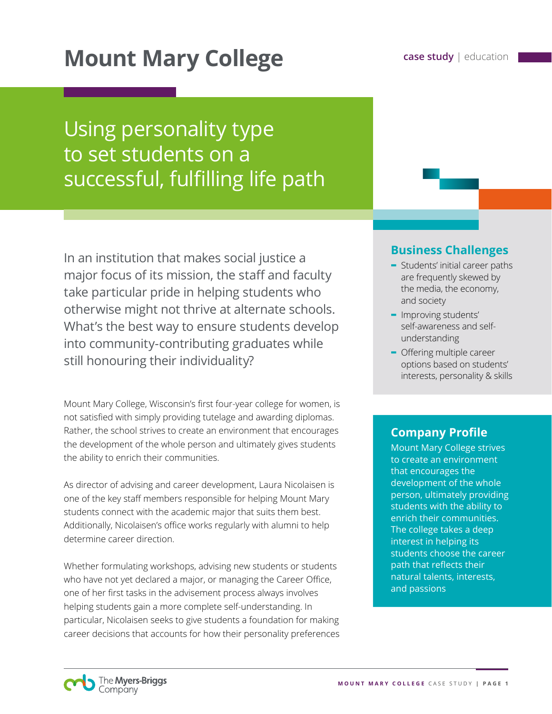# **Mount Mary College case study** | education

## Using personality type to set students on a successful, fulfilling life path

In an institution that makes social justice a major focus of its mission, the staff and faculty take particular pride in helping students who otherwise might not thrive at alternate schools. What's the best way to ensure students develop into community-contributing graduates while still honouring their individuality?

Mount Mary College, Wisconsin's first four-year college for women, is not satisfied with simply providing tutelage and awarding diplomas. Rather, the school strives to create an environment that encourages the development of the whole person and ultimately gives students the ability to enrich their communities.

As director of advising and career development, Laura Nicolaisen is one of the key staff members responsible for helping Mount Mary students connect with the academic major that suits them best. Additionally, Nicolaisen's office works regularly with alumni to help determine career direction.

Whether formulating workshops, advising new students or students who have not yet declared a major, or managing the Career Office, one of her first tasks in the advisement process always involves helping students gain a more complete self-understanding. In particular, Nicolaisen seeks to give students a foundation for making career decisions that accounts for how their personality preferences

## **Business Challenges**

- **-** Students' initial career paths are frequently skewed by the media, the economy, and society
- **-** Improving students' self-awareness and selfunderstanding
- **-** Offering multiple career options based on students' interests, personality & skills

## **Company Profile**

Mount Mary College strives to create an environment that encourages the development of the whole person, ultimately providing students with the ability to enrich their communities. The college takes a deep interest in helping its students choose the career path that reflects their natural talents, interests, and passions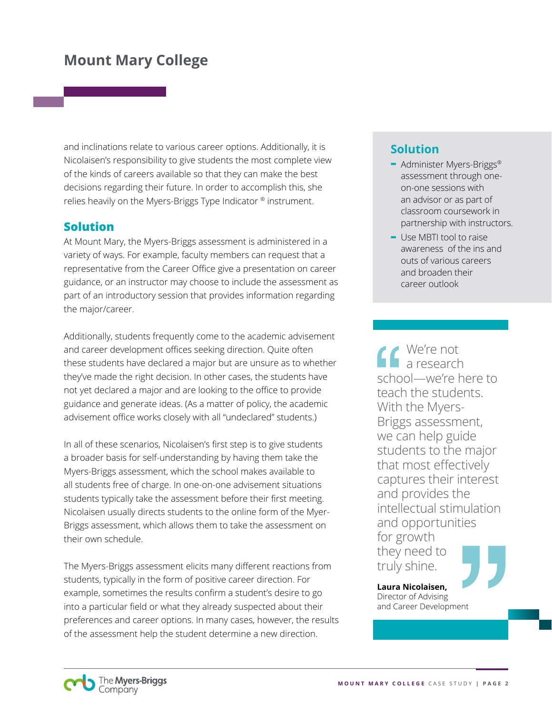and inclinations relate to various career options. Additionally, it is Nicolaisen's responsibility to give students the most complete view of the kinds of careers available so that they can make the best decisions regarding their future. In order to accomplish this, she relies heavily on the Myers-Briggs Type Indicator ® instrument.

#### **Solution**

At Mount Mary, the Myers-Briggs assessment is administered in a variety of ways. For example, faculty members can request that a representative from the Career Office give a presentation on career guidance, or an instructor may choose to include the assessment as part of an introductory session that provides information regarding the major/career.

Additionally, students frequently come to the academic advisement and career development offices seeking direction. Quite often these students have declared a major but are unsure as to whether they've made the right decision. In other cases, the students have not yet declared a major and are looking to the office to provide guidance and generate ideas. (As a matter of policy, the academic advisement office works closely with all "undeclared" students.)

In all of these scenarios, Nicolaisen's first step is to give students a broader basis for self-understanding by having them take the Myers-Briggs assessment, which the school makes available to all students free of charge. In one-on-one advisement situations students typically take the assessment before their first meeting. Nicolaisen usually directs students to the online form of the Myer-Briggs assessment, which allows them to take the assessment on their own schedule.

The Myers-Briggs assessment elicits many different reactions from students, typically in the form of positive career direction. For example, sometimes the results confirm a student's desire to go into a particular field or what they already suspected about their preferences and career options. In many cases, however, the results of the assessment help the student determine a new direction.

## **Solution**

- **-** Administer Myers-Briggs® assessment through oneon-one sessions with an advisor or as part of classroom coursework in partnership with instructors.
- **-** Use MBTI tool to raise awareness of the ins and outs of various careers and broaden their career outlook

We're not a research school—we're here to teach the students. With the Myers-Briggs assessment, we can help guide students to the major that most effectively captures their interest and provides the intellectual stimulation and opportunities for growth they need to truly shine.

**Laura Nicolaisen,**  Director of Advising and Career Development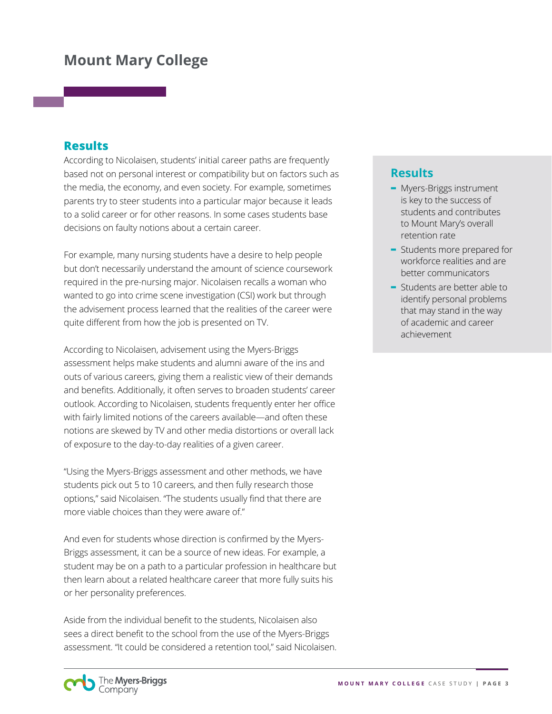#### **Results**

According to Nicolaisen, students' initial career paths are frequently based not on personal interest or compatibility but on factors such as the media, the economy, and even society. For example, sometimes parents try to steer students into a particular major because it leads to a solid career or for other reasons. In some cases students base decisions on faulty notions about a certain career.

For example, many nursing students have a desire to help people but don't necessarily understand the amount of science coursework required in the pre-nursing major. Nicolaisen recalls a woman who wanted to go into crime scene investigation (CSI) work but through the advisement process learned that the realities of the career were quite different from how the job is presented on TV.

According to Nicolaisen, advisement using the Myers-Briggs assessment helps make students and alumni aware of the ins and outs of various careers, giving them a realistic view of their demands and benefits. Additionally, it often serves to broaden students' career outlook. According to Nicolaisen, students frequently enter her office with fairly limited notions of the careers available—and often these notions are skewed by TV and other media distortions or overall lack of exposure to the day-to-day realities of a given career.

"Using the Myers-Briggs assessment and other methods, we have students pick out 5 to 10 careers, and then fully research those options," said Nicolaisen. "The students usually find that there are more viable choices than they were aware of."

And even for students whose direction is confirmed by the Myers-Briggs assessment, it can be a source of new ideas. For example, a student may be on a path to a particular profession in healthcare but then learn about a related healthcare career that more fully suits his or her personality preferences.

Aside from the individual benefit to the students, Nicolaisen also sees a direct benefit to the school from the use of the Myers-Briggs assessment. "It could be considered a retention tool," said Nicolaisen.

#### **Results**

- **-** Myers-Briggs instrument is key to the success of students and contributes to Mount Mary's overall retention rate
- **-** Students more prepared for workforce realities and are better communicators
- **-** Students are better able to identify personal problems that may stand in the way of academic and career achievement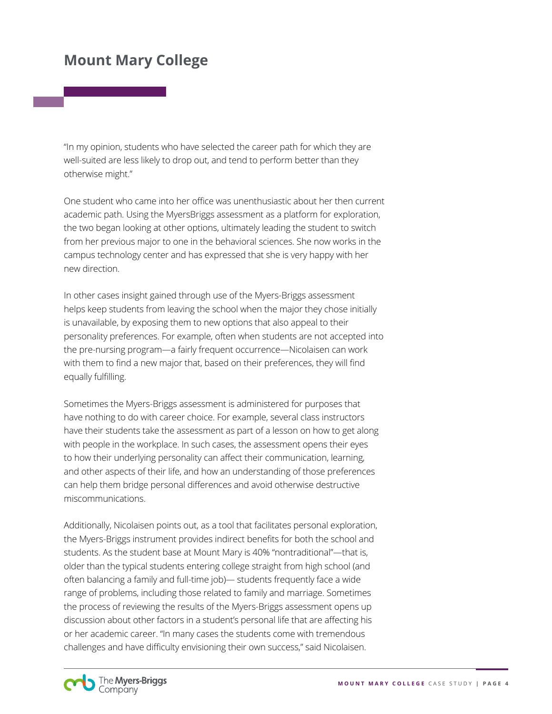"In my opinion, students who have selected the career path for which they are well-suited are less likely to drop out, and tend to perform better than they otherwise might."

One student who came into her office was unenthusiastic about her then current academic path. Using the MyersBriggs assessment as a platform for exploration, the two began looking at other options, ultimately leading the student to switch from her previous major to one in the behavioral sciences. She now works in the campus technology center and has expressed that she is very happy with her new direction.

In other cases insight gained through use of the Myers-Briggs assessment helps keep students from leaving the school when the major they chose initially is unavailable, by exposing them to new options that also appeal to their personality preferences. For example, often when students are not accepted into the pre-nursing program—a fairly frequent occurrence—Nicolaisen can work with them to find a new major that, based on their preferences, they will find equally fulfilling.

Sometimes the Myers-Briggs assessment is administered for purposes that have nothing to do with career choice. For example, several class instructors have their students take the assessment as part of a lesson on how to get along with people in the workplace. In such cases, the assessment opens their eyes to how their underlying personality can affect their communication, learning, and other aspects of their life, and how an understanding of those preferences can help them bridge personal differences and avoid otherwise destructive miscommunications.

Additionally, Nicolaisen points out, as a tool that facilitates personal exploration, the Myers-Briggs instrument provides indirect benefits for both the school and students. As the student base at Mount Mary is 40% "nontraditional"—that is, older than the typical students entering college straight from high school (and often balancing a family and full-time job)— students frequently face a wide range of problems, including those related to family and marriage. Sometimes the process of reviewing the results of the Myers-Briggs assessment opens up discussion about other factors in a student's personal life that are affecting his or her academic career. "In many cases the students come with tremendous challenges and have difficulty envisioning their own success," said Nicolaisen.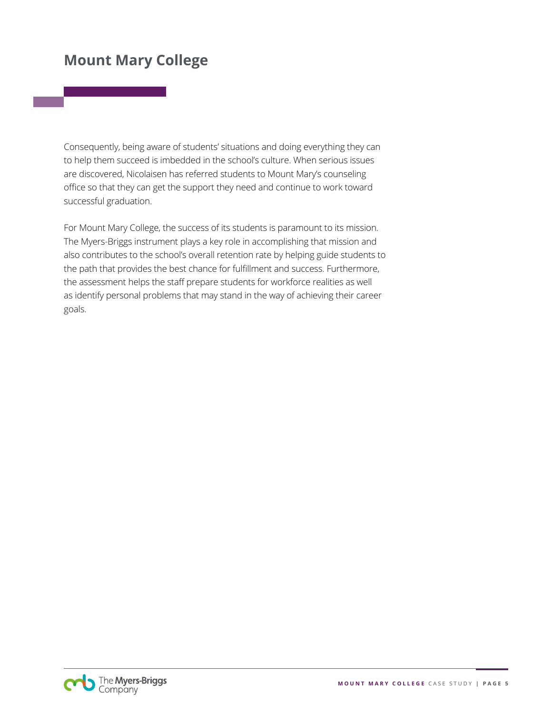Consequently, being aware of students' situations and doing everything they can to help them succeed is imbedded in the school's culture. When serious issues are discovered, Nicolaisen has referred students to Mount Mary's counseling office so that they can get the support they need and continue to work toward successful graduation.

For Mount Mary College, the success of its students is paramount to its mission. The Myers-Briggs instrument plays a key role in accomplishing that mission and also contributes to the school's overall retention rate by helping guide students to the path that provides the best chance for fulfillment and success. Furthermore, the assessment helps the staff prepare students for workforce realities as well as identify personal problems that may stand in the way of achieving their career goals.